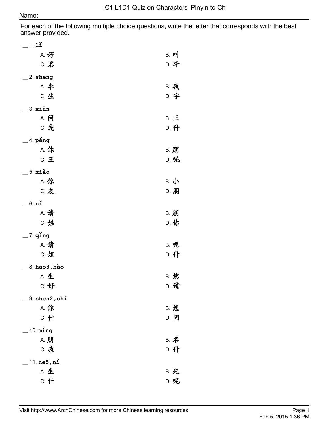For each of the following multiple choice questions, write the letter that corresponds with the best answer provided.

| $=$ 1. 11                    |                       |
|------------------------------|-----------------------|
| A. 好                         | $B.$ $\mathbf{p}$     |
| $C.$ $Z$                     | D. 李                  |
| $\_$ 2. shēng                |                       |
| <b>A. 李</b>                  | <b>B. 我</b>           |
| C. 生                         | D. 字                  |
| $\_3.$ xiān                  |                       |
| A. 问                         | <b>B. 王</b>           |
| <b>C. 先</b>                  | D. 什                  |
| $=$ 4. péng                  |                       |
| A. 你                         | <b>B. 朋</b>           |
| C. 王                         | D. 呢                  |
| $-5.$ xiǎo                   |                       |
| A. 你                         | B. 小                  |
| <b>C.友</b>                   | D. 朋                  |
| $=$ 6. $n\breve{\mathbf{i}}$ |                       |
| <b>A. 请</b>                  | <b>B. 朋</b>           |
| C. 姓                         | D. 你                  |
| $-$ 7. qľng                  |                       |
| <b>A. 请</b>                  | B. 呢                  |
| C. 姐                         | D. 什                  |
| 8. hao3 , hào                |                       |
| <b>A. 生</b>                  | <b>B. 您</b>           |
| C. 好                         | <b>D. 请</b>           |
| 9. shen2, shi                |                       |
| A. 你                         | <b>B. 您</b>           |
| c. 什                         | D. 问                  |
| $-$ 10. $ming$               |                       |
| A. 朋                         | B. $\hat{\mathbf{z}}$ |
| <b>C. 我</b>                  | D. 什                  |
| 11.ne5, n1                   |                       |
| A. 生                         | <b>B. 先</b>           |
| c. 什                         | D. 呢                  |